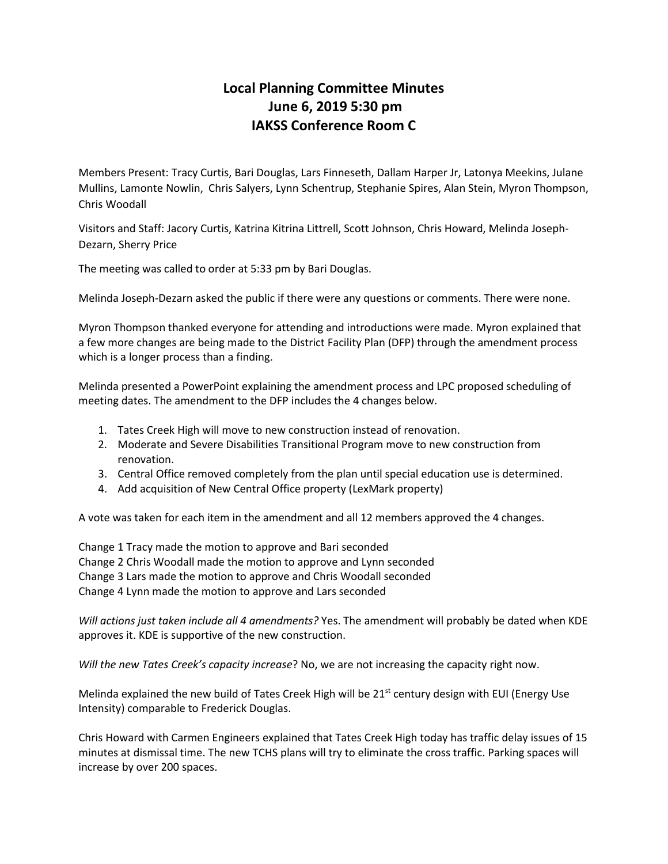## **Local Planning Committee Minutes June 6, 2019 5:30 pm IAKSS Conference Room C**

Members Present: Tracy Curtis, Bari Douglas, Lars Finneseth, Dallam Harper Jr, Latonya Meekins, Julane Mullins, Lamonte Nowlin, Chris Salyers, Lynn Schentrup, Stephanie Spires, Alan Stein, Myron Thompson, Chris Woodall

Visitors and Staff: Jacory Curtis, Katrina Kitrina Littrell, Scott Johnson, Chris Howard, Melinda Joseph-Dezarn, Sherry Price

The meeting was called to order at 5:33 pm by Bari Douglas.

Melinda Joseph-Dezarn asked the public if there were any questions or comments. There were none.

Myron Thompson thanked everyone for attending and introductions were made. Myron explained that a few more changes are being made to the District Facility Plan (DFP) through the amendment process which is a longer process than a finding.

Melinda presented a PowerPoint explaining the amendment process and LPC proposed scheduling of meeting dates. The amendment to the DFP includes the 4 changes below.

- 1. Tates Creek High will move to new construction instead of renovation.
- 2. Moderate and Severe Disabilities Transitional Program move to new construction from renovation.
- 3. Central Office removed completely from the plan until special education use is determined.
- 4. Add acquisition of New Central Office property (LexMark property)

A vote was taken for each item in the amendment and all 12 members approved the 4 changes.

Change 1 Tracy made the motion to approve and Bari seconded Change 2 Chris Woodall made the motion to approve and Lynn seconded Change 3 Lars made the motion to approve and Chris Woodall seconded Change 4 Lynn made the motion to approve and Lars seconded

*Will actions just taken include all 4 amendments?* Yes. The amendment will probably be dated when KDE approves it. KDE is supportive of the new construction.

*Will the new Tates Creek's capacity increase*? No, we are not increasing the capacity right now.

Melinda explained the new build of Tates Creek High will be  $21<sup>st</sup>$  century design with EUI (Energy Use Intensity) comparable to Frederick Douglas.

Chris Howard with Carmen Engineers explained that Tates Creek High today has traffic delay issues of 15 minutes at dismissal time. The new TCHS plans will try to eliminate the cross traffic. Parking spaces will increase by over 200 spaces.